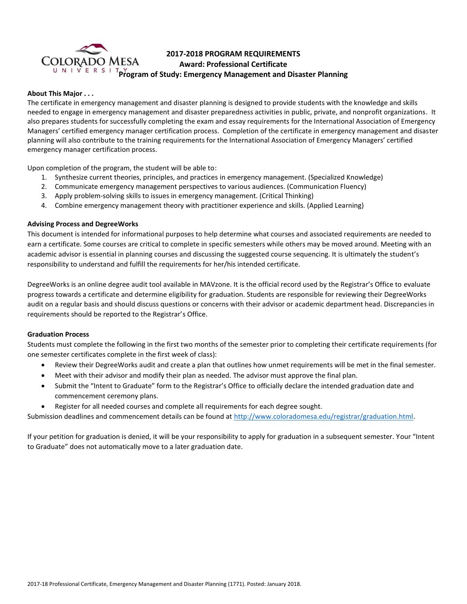

# **2017-2018 PROGRAM REQUIREMENTS Award: Professional Certificate Program of Study: Emergency Management and Disaster Planning**

# **About This Major . . .**

The certificate in emergency management and disaster planning is designed to provide students with the knowledge and skills needed to engage in emergency management and disaster preparedness activities in public, private, and nonprofit organizations. It also prepares students for successfully completing the exam and essay requirements for the International Association of Emergency Managers' certified emergency manager certification process. Completion of the certificate in emergency management and disaster planning will also contribute to the training requirements for the International Association of Emergency Managers' certified emergency manager certification process.

Upon completion of the program, the student will be able to:

- 1. Synthesize current theories, principles, and practices in emergency management. (Specialized Knowledge)
- 2. Communicate emergency management perspectives to various audiences. (Communication Fluency)
- 3. Apply problem-solving skills to issues in emergency management. (Critical Thinking)
- 4. Combine emergency management theory with practitioner experience and skills. (Applied Learning)

## **Advising Process and DegreeWorks**

This document is intended for informational purposes to help determine what courses and associated requirements are needed to earn a certificate. Some courses are critical to complete in specific semesters while others may be moved around. Meeting with an academic advisor is essential in planning courses and discussing the suggested course sequencing. It is ultimately the student's responsibility to understand and fulfill the requirements for her/his intended certificate.

DegreeWorks is an online degree audit tool available in MAVzone. It is the official record used by the Registrar's Office to evaluate progress towards a certificate and determine eligibility for graduation. Students are responsible for reviewing their DegreeWorks audit on a regular basis and should discuss questions or concerns with their advisor or academic department head. Discrepancies in requirements should be reported to the Registrar's Office.

## **Graduation Process**

Students must complete the following in the first two months of the semester prior to completing their certificate requirements (for one semester certificates complete in the first week of class):

- Review their DegreeWorks audit and create a plan that outlines how unmet requirements will be met in the final semester.
- Meet with their advisor and modify their plan as needed. The advisor must approve the final plan.
- Submit the "Intent to Graduate" form to the Registrar's Office to officially declare the intended graduation date and commencement ceremony plans.
- Register for all needed courses and complete all requirements for each degree sought.

Submission deadlines and commencement details can be found at [http://www.coloradomesa.edu/registrar/graduation.html.](http://www.coloradomesa.edu/registrar/graduation.html)

If your petition for graduation is denied, it will be your responsibility to apply for graduation in a subsequent semester. Your "Intent to Graduate" does not automatically move to a later graduation date.